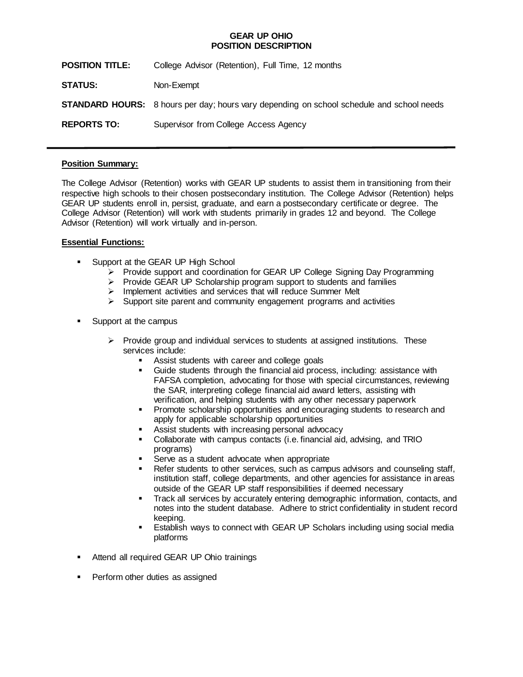## **GEAR UP OHIO POSITION DESCRIPTION**

| <b>POSITION TITLE:</b> | College Advisor (Retention), Full Time, 12 months                                                |
|------------------------|--------------------------------------------------------------------------------------------------|
| <b>STATUS:</b>         | Non-Exempt                                                                                       |
|                        | <b>STANDARD HOURS:</b> 8 hours per day; hours vary depending on school schedule and school needs |
| <b>REPORTS TO:</b>     | Supervisor from College Access Agency                                                            |

## **Position Summary:**

The College Advisor (Retention) works with GEAR UP students to assist them in transitioning from their respective high schools to their chosen postsecondary institution. The College Advisor (Retention) helps GEAR UP students enroll in, persist, graduate, and earn a postsecondary certificate or degree. The College Advisor (Retention) will work with students primarily in grades 12 and beyond. The College Advisor (Retention) will work virtually and in-person.

## **Essential Functions:**

- Support at the GEAR UP High School
	- ➢ Provide support and coordination for GEAR UP College Signing Day Programming
	- ➢ Provide GEAR UP Scholarship program support to students and families
	- ➢ Implement activities and services that will reduce Summer Melt
	- $\triangleright$  Support site parent and community engagement programs and activities
- Support at the campus
	- $\triangleright$  Provide group and individual services to students at assigned institutions. These services include:
		- Assist students with career and college goals
		- Guide students through the financial aid process, including: assistance with FAFSA completion, advocating for those with special circumstances, reviewing the SAR, interpreting college financial aid award letters, assisting with verification, and helping students with any other necessary paperwork
		- Promote scholarship opportunities and encouraging students to research and apply for applicable scholarship opportunities
		- Assist students with increasing personal advocacy
		- Collaborate with campus contacts (i.e. financial aid, advising, and TRIO programs)
		- Serve as a student advocate when appropriate
		- Refer students to other services, such as campus advisors and counseling staff, institution staff, college departments, and other agencies for assistance in areas outside of the GEAR UP staff responsibilities if deemed necessary
		- Track all services by accurately entering demographic information, contacts, and notes into the student database. Adhere to strict confidentiality in student record keeping.
		- Establish ways to connect with GEAR UP Scholars including using social media platforms
- Attend all required GEAR UP Ohio trainings
- **•** Perform other duties as assigned